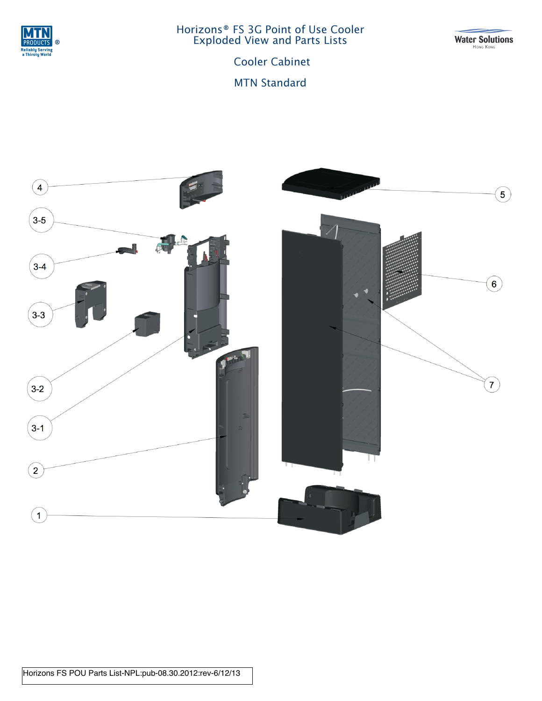

Horizons® FS 3G Point of Use Cooler Exploded View and Parts Lists

Water Solutions

Cooler Cabinet

MTN Standard

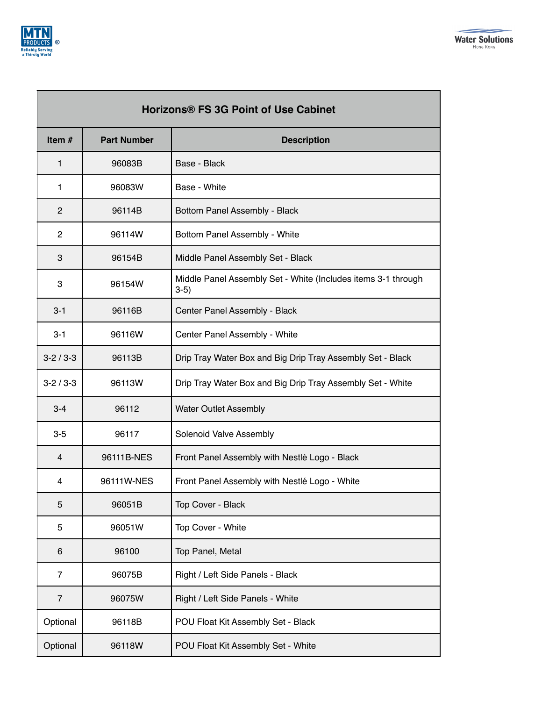

п

┑

| Horizons® FS 3G Point of Use Cabinet |                    |                                                                         |
|--------------------------------------|--------------------|-------------------------------------------------------------------------|
| Item $#$                             | <b>Part Number</b> | <b>Description</b>                                                      |
| 1                                    | 96083B             | Base - Black                                                            |
| 1                                    | 96083W             | Base - White                                                            |
| $\overline{2}$                       | 96114B             | Bottom Panel Assembly - Black                                           |
| $\overline{c}$                       | 96114W             | Bottom Panel Assembly - White                                           |
| 3                                    | 96154B             | Middle Panel Assembly Set - Black                                       |
| 3                                    | 96154W             | Middle Panel Assembly Set - White (Includes items 3-1 through<br>$3-5)$ |
| $3 - 1$                              | 96116B             | Center Panel Assembly - Black                                           |
| $3 - 1$                              | 96116W             | Center Panel Assembly - White                                           |
| $3 - 2 / 3 - 3$                      | 96113B             | Drip Tray Water Box and Big Drip Tray Assembly Set - Black              |
| $3-2/3-3$                            | 96113W             | Drip Tray Water Box and Big Drip Tray Assembly Set - White              |
| $3 - 4$                              | 96112              | <b>Water Outlet Assembly</b>                                            |
| $3-5$                                | 96117              | Solenoid Valve Assembly                                                 |
| 4                                    | 96111B-NES         | Front Panel Assembly with Nestlé Logo - Black                           |
| 4                                    | 96111W-NES         | Front Panel Assembly with Nestlé Logo - White                           |
| 5                                    | 96051B             | Top Cover - Black                                                       |
| 5                                    | 96051W             | Top Cover - White                                                       |
| 6                                    | 96100              | Top Panel, Metal                                                        |
| 7                                    | 96075B             | Right / Left Side Panels - Black                                        |
| $\overline{7}$                       | 96075W             | Right / Left Side Panels - White                                        |
| Optional                             | 96118B             | POU Float Kit Assembly Set - Black                                      |
| Optional                             | 96118W             | POU Float Kit Assembly Set - White                                      |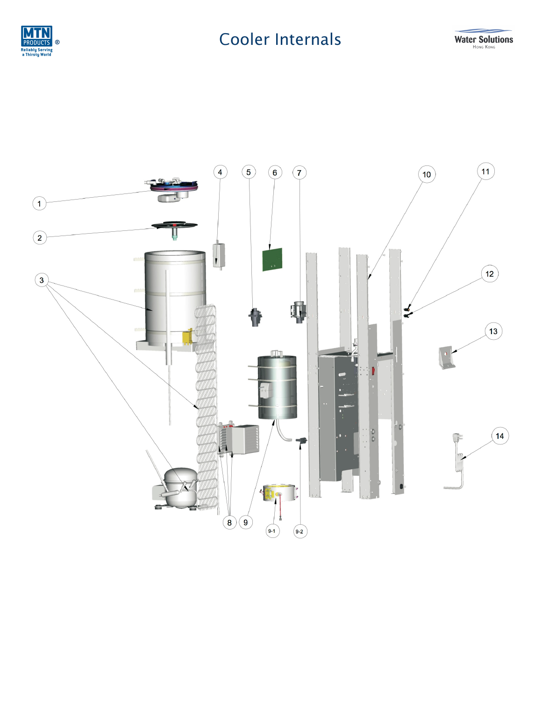

## **Cooler Internals**